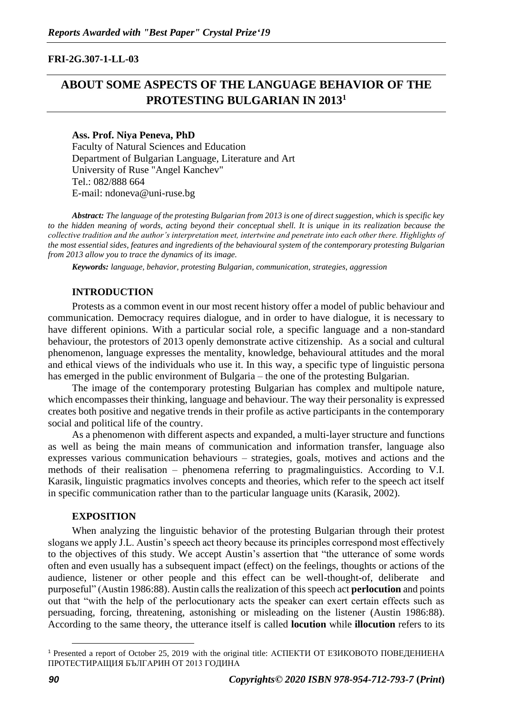## **FRI-2G.307-1-LL-03**

# **ABOUT SOME ASPECTS OF THE LANGUAGE BEHAVIOR OF THE PROTESTING BULGARIAN IN 2013<sup>1</sup>**

### **Ass. Prof. Niya Peneva, PhD**

Faculty of Natural Sciences and Education Department of Bulgarian Language, Literature and Art University of Ruse "Angel Kanchev" Tel.: 082/888 664 E-mail: ndoneva@uni-ruse.bg

*Abstract: The language of the protesting Bulgarian from 2013 is one of direct suggestion, which is specific key to the hidden meaning of words, acting beyond their conceptual shell. It is unique in its realization because the collective tradition and the author's interpretation meet, intertwine and penetrate into each other there. Highlights of the most essential sides, features and ingredients of the behavioural system of the contemporary protesting Bulgarian from 2013 allow you to trace the dynamics of its image.*

*Keywords: language, behavior, protesting Bulgarian, communication, strategies, aggression*

## **INTRODUCTION**

Protests as a common event in our most recent history offer a model of public behaviour and communication. Democracy requires dialogue, and in order to have dialogue, it is necessary to have different opinions. With a particular social role, a specific language and a non-standard behaviour, the protestors of 2013 openly demonstrate active citizenship. As a social and cultural phenomenon, language expresses the mentality, knowledge, behavioural attitudes and the moral and ethical views of the individuals who use it. In this way, a specific type of linguistic persona has emerged in the public environment of Bulgaria – the one of the protesting Bulgarian.

The image of the contemporary protesting Bulgarian has complex and multipole nature, which encompasses their thinking, language and behaviour. The way their personality is expressed creates both positive and negative trends in their profile as active participants in the contemporary social and political life of the country.

As a phenomenon with different aspects and expanded, a multi-layer structure and functions as well as being the main means of communication and information transfer, language also expresses various communication behaviours – strategies, goals, motives and actions and the methods of their realisation – phenomena referring to pragmalinguistics. According to V.I. Karasik, linguistic pragmatics involves concepts and theories, which refer to the speech act itself in specific communication rather than to the particular language units (Karasik, 2002).

## **EXPOSITION**

When analyzing the linguistic behavior of the protesting Bulgarian through their protest slogans we apply J.L. Austin's speech act theory because its principles correspond most effectively to the objectives of this study. We accept Austin's assertion that "the utterance of some words often and even usually has a subsequent impact (effect) on the feelings, thoughts or actions of the audience, listener or other people and this effect can be well-thought-of, deliberate purposeful" (Austin 1986:88). Austin calls the realization of this speech act **perlocution** and points out that "with the help of the perlocutionary acts the speaker can exert certain effects such as persuading, forcing, threatening, astonishing or misleading on the listener (Austin 1986:88). According to the same theory, the utterance itself is called **locution** while **illocution** refers to its

<sup>1</sup> Presented a report of October 25, 2019 with the original title: АСПЕКТИ ОТ ЕЗИКОВОТО ПОВЕДЕНИЕНА ПРОТЕСТИРАЩИЯ БЪЛГАРИН ОТ 2013 ГОДИНА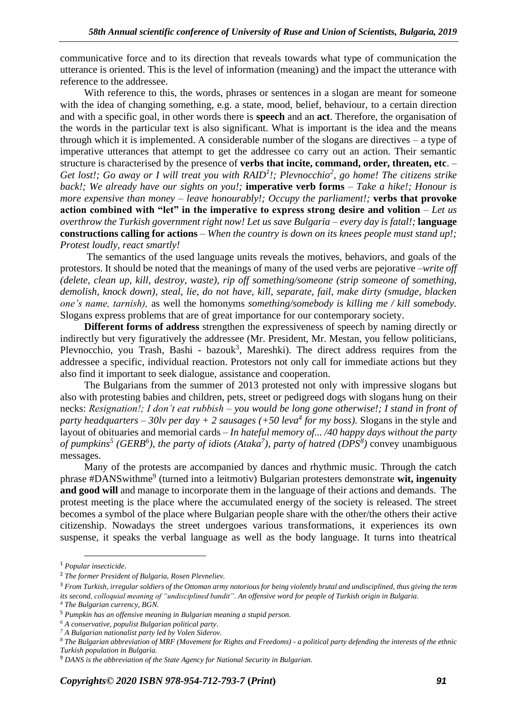communicative force and to its direction that reveals towards what type of communication the utterance is oriented. This is the level of information (meaning) and the impact the utterance with reference to the addressee.

With reference to this, the words, phrases or sentences in a slogan are meant for someone with the idea of changing something, e.g. a state, mood, belief, behaviour, to a certain direction and with a specific goal, in other words there is **speech** and an **act**. Therefore, the organisation of the words in the particular text is also significant. What is important is the idea and the means through which it is implemented. A considerable number of the slogans are directives – a type of imperative utterances that attempt to get the addressee co carry out an action. Their semantic structure is characterised by the presence of **verbs that incite, command, order, threaten, etc**. – *Get lost!; Go away or I will treat you with RAID<sup>1</sup> !; Plevnocchio<sup>2</sup> , go home! The citizens strike back!; We already have our sights on you!;* **imperative verb forms** – *Take a hike!; Honour is more expensive than money – leave honourably!; Occupy the parliament!;* **verbs that provoke action combined with "let" in the imperative to express strong desire and volition** – *Let us overthrow the Turkish government right now! Let us save Bulgaria – every day is fatal!;* **language constructions calling for actions** – *When the country is down on its knees people must stand up!; Protest loudly, react smartly!*

The semantics of the used language units reveals the motives, behaviors, and goals of the protestors. It should be noted that the meanings of many of the used verbs are pejorative –*write off (delete, clean up, kill, destroy, waste), rip off something/someone (strip someone of something, demolish, knock down), steal, lie, do not have, kill, separate, fail, make dirty (smudge, blacken one's name, tarnish),* as well the homonyms *something/somebody is killing me / kill somebody.*  Slogans express problems that are of great importance for our contemporary society.

**Different forms of address** strengthen the expressiveness of speech by naming directly or indirectly but very figuratively the addressee (Mr. President, Mr. Mestan, you fellow politicians, Plevnocchio, you Trash, Bashi - bazouk<sup>3</sup>, Mareshki). The direct address requires from the addressee a specific, individual reaction. Protestors not only call for immediate actions but they also find it important to seek dialogue, assistance and cooperation.

The Bulgarians from the summer of 2013 protested not only with impressive slogans but also with protesting babies and children, pets, street or pedigreed dogs with slogans hung on their necks: *Resignation!; I don't eat rubbish – you would be long gone otherwise!; I stand in front of party headquarters – 30lv per day + 2 sausages (+50 leva<sup>4</sup> for my boss).* Slogans in the style and layout of obituaries and memorial cards *– In hateful memory of... /40 happy days without the party of pumpkins<sup>5</sup> (GERB<sup>6</sup> ), the party of idiots (Ataka<sup>7</sup> ), party of hatred (DPS<sup>8</sup> )* convey unambiguous messages.

Many of the protests are accompanied by dances and rhythmic music. Through the catch phrase #DANSwithme<sup>9</sup> (turned into a leitmotiv) Bulgarian protesters demonstrate wit, ingenuity **and good will** and manage to incorporate them in the language of their actions and demands. The protest meeting is the place where the accumulated energy of the society is released. The street becomes a symbol of the place where Bulgarian people share with the other/the others their active citizenship. Nowadays the street undergoes various transformations, it experiences its own suspense, it speaks the verbal language as well as the body language. It turns into theatrical

*<sup>4</sup> The Bulgarian currency, BGN.* 

<sup>1</sup> *Popular insecticide*.

<sup>2</sup> *The former President of Bulgaria, Rosen Plevneliev.* 

<sup>3</sup> *From Turkish[, irregular](https://en.wikipedia.org/wiki/Irregular_military) soldiers of th[e Ottoman army](https://en.wikipedia.org/wiki/Ottoman_army) notorious for being violently brutal and undisciplined, thus giving the term its second, colloquial meaning of "undisciplined bandit". An offensive word for people of Turkish origin in Bulgaria.*

<sup>5</sup> *Pumpkin has an offensive meaning in Bulgarian meaning a stupid person.* 

*<sup>6</sup> A conservative, populist Bulgarian political party.*

*<sup>7</sup> A Bulgarian nationalist party led by Volen Siderov.*

*<sup>8</sup> The Bulgarian abbreviation of MRF (Movement for Rights and Freedoms) - a political party defending the interests of the ethnic Turkish population in Bulgaria.* 

<sup>9</sup> *DANS is the abbreviation of the State Agency for National Security in Bulgarian.*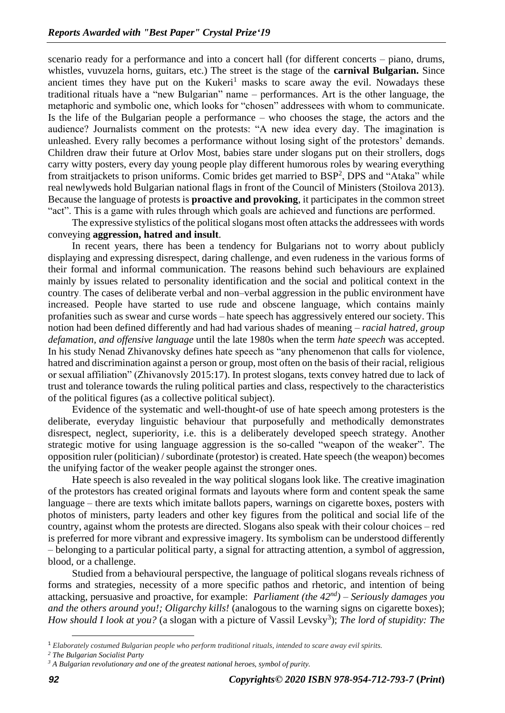scenario ready for a performance and into a concert hall (for different concerts – piano, drums, whistles, vuvuzela horns, guitars, etc.) The street is the stage of the **carnival Bulgarian.** Since ancient times they have put on the Kukeri<sup>1</sup> masks to scare away the evil. Nowadays these traditional rituals have a "new Bulgarian" name – performances. Art is the other language, the metaphoric and symbolic one, which looks for "chosen" addressees with whom to communicate. Is the life of the Bulgarian people a performance – who chooses the stage, the actors and the audience? Journalists comment on the protests: "A new idea every day. The imagination is unleashed. Every rally becomes a performance without losing sight of the protestors' demands. Children draw their future at Orlov Most, babies stare under slogans put on their strollers, dogs carry witty posters, every day young people play different humorous roles by wearing everything from straitjackets to prison uniforms. Comic brides get married to BSP<sup>2</sup>, DPS and "Ataka" while real newlyweds hold Bulgarian national flags in front of the Council of Ministers (Stoilova 2013). Because the language of protests is **proactive and provoking**, it participates in the common street "act". This is a game with rules through which goals are achieved and functions are performed.

The expressive stylistics of the political slogans most often attacks the addressees with words conveying **aggression, hatred and insult**.

In recent years, there has been a tendency for Bulgarians not to worry about publicly displaying and expressing disrespect, daring challenge, and even rudeness in the various forms of their formal and informal communication. The reasons behind such behaviours are explained mainly by issues related to personality identification and the social and political context in the country. The cases of deliberate verbal and non–verbal aggression in the public environment have increased. People have started to use rude and obscene language, which contains mainly profanities such as swear and curse words – hate speech has aggressively entered our society. This notion had been defined differently and had had various shades of meaning – *racial hatred, group defamation, and offensive language* until the late 1980s when the term *hate speech* was accepted. In his study Nenad Zhivanovsky defines hate speech as "any phenomenon that calls for violence, hatred and discrimination against a person or group, most often on the basis of their racial, religious or sexual affiliation" (Zhivanovsly 2015:17). In protest slogans, texts convey hatred due to lack of trust and tolerance towards the ruling political parties and class, respectively to the characteristics of the political figures (as a collective political subject).

Evidence of the systematic and well-thought-of use of hate speech among protesters is the deliberate, everyday linguistic behaviour that purposefully and methodically demonstrates disrespect, neglect, superiority, i.e. this is a deliberately developed speech strategy. Another strategic motive for using language aggression is the so-called "weapon of the weaker". The opposition ruler (politician) / subordinate (protestor) is created. Hate speech (the weapon) becomes the unifying factor of the weaker people against the stronger ones.

Hate speech is also revealed in the way political slogans look like. The creative imagination of the protestors has created original formats and layouts where form and content speak the same language – there are texts which imitate ballots papers, warnings on cigarette boxes, posters with photos of ministers, party leaders and other key figures from the political and social life of the country, against whom the protests are directed. Slogans also speak with their colour choices – red is preferred for more vibrant and expressive imagery. Its symbolism can be understood differently – belonging to a particular political party, a signal for attracting attention, a symbol of aggression, blood, or a challenge.

Studied from a behavioural perspective, the language of political slogans reveals richness of forms and strategies, necessity of a more specific pathos and rhetoric, and intention of being attacking, persuasive and proactive, for example: *Parliament (the 42nd) – Seriously damages you and the others around you!; Oligarchy kills!* (analogous to the warning signs on cigarette boxes); *How should I look at you?* (a slogan with a picture of Vassil Levsky<sup>3</sup>); *The lord of stupidity: The* 

<sup>1</sup> *Elaborately costumed Bulgarian people who perform traditional rituals, intended to scare away evil spirits.*

*<sup>2</sup> The Bulgarian Socialist Party* 

*<sup>3</sup> A Bulgarian revolutionary and one of the greatest national heroes, symbol of purity.*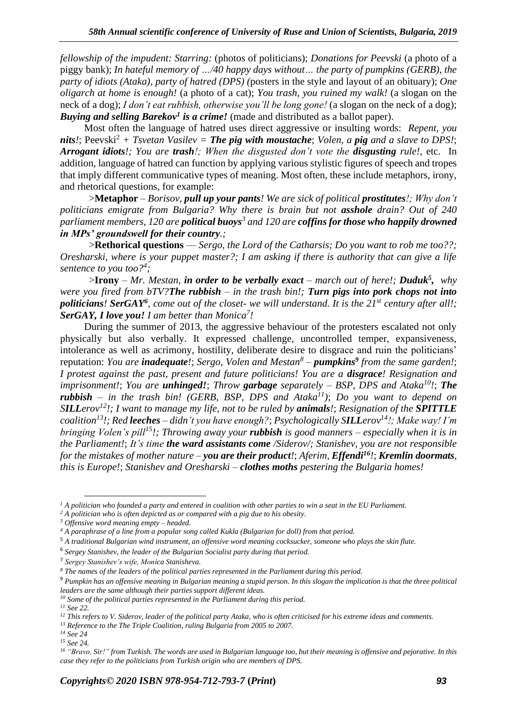*fellowship of the impudent: Starring:* (photos of politicians); *Donations for Peevski* (a photo of a piggy bank); *In hateful memory of …/40 happy days without… the party of pumpkins (GERB), the party of idiots (Ataka), party of hatred (DPS) (*posters in the style and layout of an obituary); *One oligarch at home is enough!* (a photo of a cat); *You trash, you ruined my walk!* (a slogan on the neck of a dog); *I don't eat rubbish, otherwise you'll be long gone!* (a slogan on the neck of a dog); *Buying and selling Barekov<sup>1</sup> is a crime!* (made and distributed as a ballot paper).

Most often the language of hatred uses direct aggressive or insulting words: *Repent, you nits!*; Peevski<sup>2</sup> + *Tsvetan Vasilev* = *The pig with moustache*; *Volen, a pig and a slave to DPS!*; *Arrogant idiots!; You are trash!; When the disgusted don't vote the disgusting rule!,* etc. In addition, language of hatred can function by applying various stylistic figures of speech and tropes that imply different communicative types of meaning. Most often, these include metaphors, irony, and rhetorical questions, for example:

>**Metaphor** – *Borisov, pull up your pants! We are sick of political prostitutes!; Why don't politicians emigrate from Bulgaria? Why there is brain but not asshole drain? Out of 240 parliament members, 120 are political buoys<sup>3</sup> and 120 are coffins for those who happily drowned in MPs' groundswell for their country.;* 

>**Rethorical questions** –*– Sergo, the Lord of the Catharsis; Do you want to rob me too??; Oresharski, where is your puppet master?; I am asking if there is authority that can give a life sentence to you too?<sup>4</sup> ;*

>**Irony** – *Mr. Mestan, in order to be verbally exact – march out of here!; Duduk<sup>5</sup> , why were you fired from bTV?The rubbish – in the trash bin!; Turn pigs into pork chops not into politicians! SerGAY<sup>6</sup> , come out of the closet- we will understand. It is the 21st century after all!; SerGAY, I love you! I am better than Monica<sup>7</sup> !* 

During the summer of 2013, the aggressive behaviour of the protesters escalated not only physically but also verbally. It expressed challenge, uncontrolled temper, expansiveness, intolerance as well as acrimony, hostility, deliberate desire to disgrace and ruin the politicians' reputation: *You are inadequate!*; *Sergo, Volen and Mestan<sup>8</sup> – pumpkins<sup>9</sup> from the same garden!*; *I protest against the past, present and future politicians! You are a disgrace! Resignation and imprisonment!*; *You are unhinged!*; *Throw garbage separately – BSP, DPS and Ataka<sup>10</sup>!*; *The rubbish – in the trash bin! (GERB, BSP, DPS and Ataka<sup>11</sup>)*; *Do you want to depend on SILLerov<sup>12</sup>!; I want to manage my life, not to be ruled by animals!*; *Resignation of the SPITTLE coalition*<sup>13</sup>*!*; *Red leeches – didn't you have enough?; <i>Psychologically SILLerov*<sup>14</sup>*!; Make way! I'm bringing Volen's pill<sup>15</sup>!; Throwing away your rubbish is good manners – especially when it is in the Parliament!*; *It's time the ward assistants come /Siderov/; Stanishev, you are not responsible for the mistakes of mother nature – you are their product!*; *Aferim, Effendi<sup>16</sup>!*; *Kremlin doormats, this is Europe!*; *Stanishev and Oresharski – clothes moths pestering the Bulgaria homes!*

*<sup>13</sup> Reference to the The Triple Coalition, ruling Bulgaria from 2005 to 2007.* 

*<sup>1</sup> A politician who founded a party and entered in coalition with other parties to win a seat in the EU Parliament.* 

*<sup>2</sup> A politician who is often depicted as or compared with a pig due to his obesity.* 

*<sup>3</sup> Offensive word meaning empty – headed.*

*<sup>4</sup> A paraphrase of a line from a popular song called Kukla (Bulgarian for doll) from that period.* 

<sup>5</sup> *A traditional Bulgarian wind instrument, an offensive word meaning cocksucker, someone who plays the skin flute.* 

<sup>6</sup> *Sergey Stanishev, the leader of the Bulgarian Socialist party during that period.*

<sup>7</sup> *Sergey Stanishev's wife, Monica Stanisheva.*

*<sup>8</sup> The names of the leaders of the political parties represented in the Parliament during this period.* 

<sup>9</sup> *Pumpkin has an offensive meaning in Bulgarian meaning a stupid person. In this slogan the implication is that the three political leaders are the same although their parties support different ideas.* 

*<sup>10</sup> Some of the political parties represented in the Parliament during this period.* 

*<sup>11</sup> See 22.* 

*<sup>12</sup> This refers to V. Siderov, leader of the political party Ataka, who is often criticised for his extreme ideas and comments.* 

*<sup>14</sup> See 24*

*<sup>15</sup> See 24.* 

*<sup>16</sup> "Bravo, Sir!" from Turkish. The words are used in Bulgarian language too, but their meaning is offensive and pejorative. In this case they refer to the politicians from Turkish origin who are members of DPS.*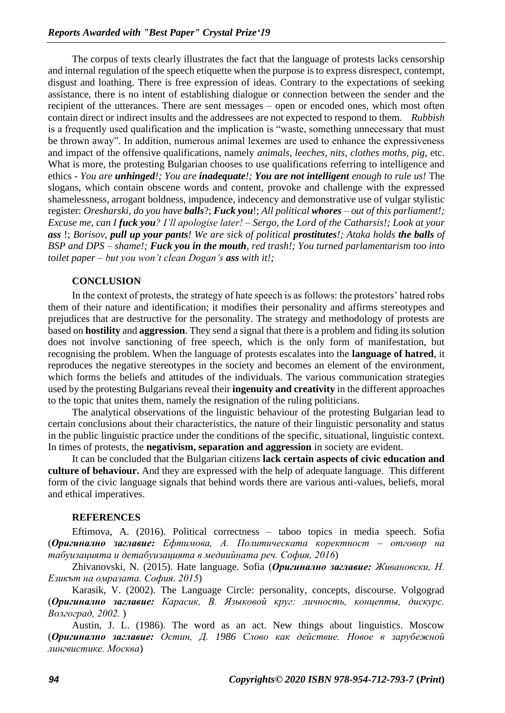The corpus of texts clearly illustrates the fact that the language of protests lacks censorship and internal regulation of the speech etiquette when the purpose is to express disrespect, contempt, disgust and loathing. There is free expression of ideas. Contrary to the expectations of seeking assistance, there is no intent of establishing dialogue or connection between the sender and the recipient of the utterances. There are sent messages – open or encoded ones, which most often contain direct or indirect insults and the addressees are not expected to respond to them. *Rubbish*  is a frequently used qualification and the implication is "waste, something unnecessary that must be thrown away". In addition, numerous animal lexemes are used to enhance the expressiveness and impact of the offensive qualifications, namely *animals, leeches, nits, clothes moths, pig,* etc. What is more, the protesting Bulgarian chooses to use qualifications referring to intelligence and ethics - *You are unhinged!; You are inadequate!; You are not intelligent enough to rule us!* The slogans, which contain obscene words and content, provoke and challenge with the expressed shamelessness, arrogant boldness, impudence, indecency and demonstrative use of vulgar stylistic register: *Oresharski, do you have balls*?; *Fuck you*!; *All political whores – out of this parliament!; Excuse me, can I fuck you? I'll apologise later! – Sergo, the Lord of the Catharsis!; Look at your ass* !; *Borisov, pull up your pants! We are sick of political prostitutes!; Ataka holds the balls of BSP and DPS – shame!; Fuck you in the mouth, red trash!; You turned parlamentarism too into toilet paper – but you won't clean Dogan's ass with it!;*

## **CONCLUSION**

In the context of protests, the strategy of hate speech is as follows: the protestors' hatred robs them of their nature and identification; it modifies their personality and affirms stereotypes and prejudices that are destructive for the personality. The strategy and methodology of protests are based on **hostility** and **aggression**. They send a signal that there is a problem and fiding its solution does not involve sanctioning of free speech, which is the only form of manifestation, but recognising the problem. When the language of protests escalates into the **language of hatred**, it reproduces the negative stereotypes in the society and becomes an element of the environment, which forms the beliefs and attitudes of the individuals. The various communication strategies used by the protesting Bulgarians reveal their **ingenuity and creativity** in the different approaches to the topic that unites them, namely the resignation of the ruling politicians.

The analytical observations of the linguistic behaviour of the protesting Bulgarian lead to certain conclusions about their characteristics, the nature of their linguistic personality and status in the public linguistic practice under the conditions of the specific, situational, linguistic context. In times of protests, the **negativism, separation and aggression** in society are evident.

It can be concluded that the Bulgarian citizens **lack certain aspects of civic education and culture of behaviour.** And they are expressed with the help of adequate language. This different form of the civic language signals that behind words there are various anti-values, beliefs, moral and ethical imperatives.

#### **REFERENCES**

Eftimova, A. (2016). Political correctness – taboo topics in media speech. Sofia (*Оригинално заглавие: Ефтимова, А. Политическата коректност – отговор на табуизацията и детабуизацията в медиийната реч. София, 2016*)

Zhivanovski, N. (2015). Hate language. Sofia (*Оригинално заглавие: Живановски, Н. Езикът на омразата. София. 2015*)

Karasik, V. (2002). The Language Circle: personality, concepts, discourse. Volgograd (*Оригинално заглавие: Карасик, В. Языковой круг: личность, концепты, дискурс. Волгоград, 2002.* )

Austin, J. L. (1986). The word as an act. New things about linguistics. Moscow (*Оригинално заглавие: Остин, Д. 1986 Слово как действие. Новое в зарубежной лингвистике. Москва*)